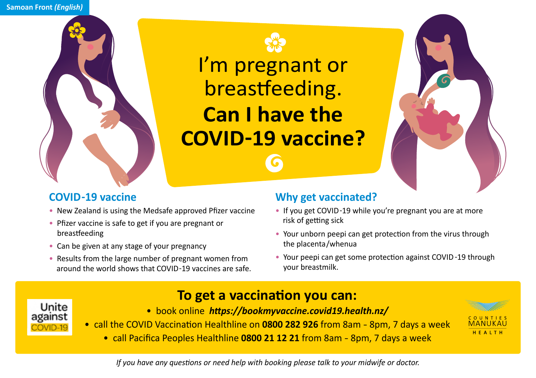



I'm pregnant or breastfeeding. **Can I have the COVID-19 vaccine?**



## **COVID-19 vaccine**

- New Zealand is using the Medsafe approved Pfizer vaccine
- Pfizer vaccine is safe to get if you are pregnant or breastfeeding
- Can be given at any stage of your pregnancy
- Results from the large number of pregnant women from around the world shows that COVID-19 vaccines are safe.

## **Why get vaccinated?**

- If you get COVID-19 while you're pregnant you are at more risk of getting sick
- Your unborn peepi can get protection from the virus through the placenta/whenua
- Your peepi can get some protection against COVID-19 through your breastmilk.



- **To get a vaccination you can:**
- book online *https://bookmyvaccine.covid19.health.nz/*



• call Pacifica Peoples Healthline **0800 21 12 21** from 8am - 8pm, 7 days a week



*If you have any questions or need help with booking please talk to your midwife or doctor.*